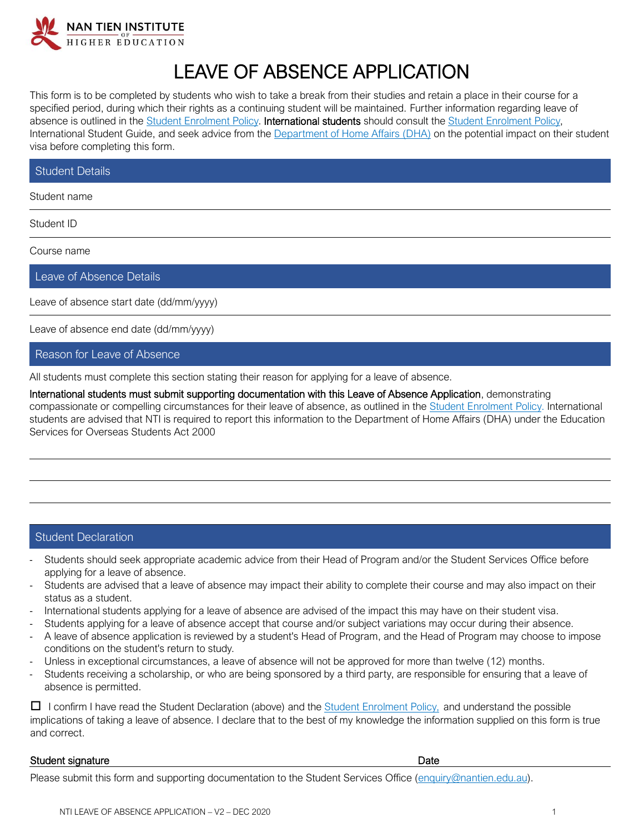

## LEAVE OF ABSENCE APPLICATION

This form is to be completed by students who wish to take a break from their studies and retain a place in their course for a specified period, during which their rights as a continuing student will be maintained. Further information regarding leave of absence is outlined in the **Student Enrolment Policy. International students** should consult the **Student Enrolment Policy**, International Student Guide, and seek advice from the **Department of Home Affairs (DHA)** on the potential impact on their student visa before completing this form.

| Student Details |  |  |  |  |  |  |
|-----------------|--|--|--|--|--|--|
|-----------------|--|--|--|--|--|--|

Student name

Student ID

Course name

Leave of Absence Details

Leave of absence start date (dd/mm/yyyy)

Leave of absence end date (dd/mm/yyyy)

## Reason for Leave of Absence

All students must complete this section stating their reason for applying for a leave of absence.

International students must submit supporting documentation with this Leave of Absence Application, demonstrating compassionate or compelling circumstances for their leave of absence, as outlined in the [Student Enrolment Policy.](https://policy.nantien.edu.au/student-services/student-enrolment-policy) International students are advised that NTI is required to report this information to the Department of Home Affairs (DHA) under the Education Services for Overseas Students Act 2000

## Student Declaration

- Students should seek appropriate academic advice from their Head of Program and/or the Student Services Office before applying for a leave of absence.
- Students are advised that a leave of absence may impact their ability to complete their course and may also impact on their status as a student.
- International students applying for a leave of absence are advised of the impact this may have on their student visa.
- Students applying for a leave of absence accept that course and/or subject variations may occur during their absence.
- A leave of absence application is reviewed by a student's Head of Program, and the Head of Program may choose to impose conditions on the student's return to study.
- Unless in exceptional circumstances, a leave of absence will not be approved for more than twelve (12) months.
- Students receiving a scholarship, or who are being sponsored by a third party, are responsible for ensuring that a leave of absence is permitted.

 $\Box$  I confirm I have read the Student Declaration (above) and the [Student Enrolment Policy,](https://policy.nantien.edu.au/student-services/student-enrolment-policy) and understand the possible implications of taking a leave of absence. I declare that to the best of my knowledge the information supplied on this form is true and correct.

## Student signature Date

Please submit this form and supporting documentation to the Student Services Office [\(enquiry@nantien.edu.au\)](mailto:enquiry@nantien.edu.au).